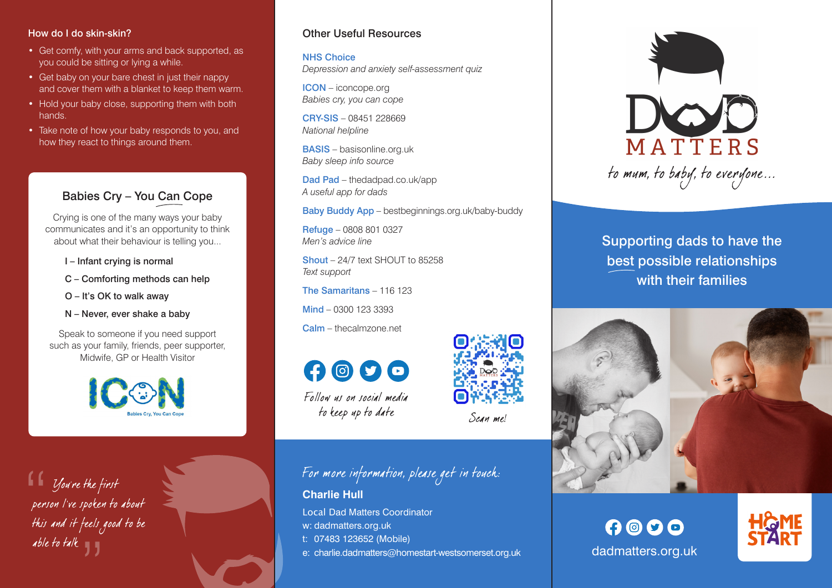#### How do I do skin-skin?

- Get comfy, with your arms and back supported, as you could be sitting or lying a while.
- Get baby on your bare chest in just their nappy and cover them with a blanket to keep them warm.
- Hold your baby close, supporting them with both hands.
- Take note of how your baby responds to you, and how they react to things around them.

### Babies Cry – You Can Cope

Crying is one of the many ways your baby communicates and it's an opportunity to think about what their behaviour is telling you...

- I Infant crying is normal
- C Comforting methods can help
- O It's OK to walk away
- N Never, ever shake a baby

Speak to someone if you need support such as your family, friends, peer supporter, Midwife, GP or Health Visitor



able to talk "

#### Other Useful Resources

NHS Choice *Depression and anxiety self-assessment quiz*

ICON – iconcope.org *Babies cry, you can cope*

CRY-SIS – 08451 228669 *National helpline*

BASIS – basisonline.org.uk *Baby sleep info source*

Dad Pad – thedadpad.co.uk/app *A useful app for dads*

Baby Buddy App – bestbeginnings.org.uk/baby-buddy

Refuge – 0808 801 0327 *Men's advice line*

 $Shout - 24/7$  text  $SHOL$  IT to 85258 *Text support*

The Samaritans – 116 123

Mind – 0300 123 3393

Calm – thecalmzone.net



Follow us on social media to keep up to date

## For more information, please get in touch:

Scan me!

**Charlie Hull** Local Dad Matters Coordinator w: dadmatters.org.uk t: 07483 123652 (Mobile) e: charlie.dadmatters@homestart-westsomerset.org.uk



Supporting dads to have the best possible relationships with their families



 $000$ 



dadmatters.org.uk